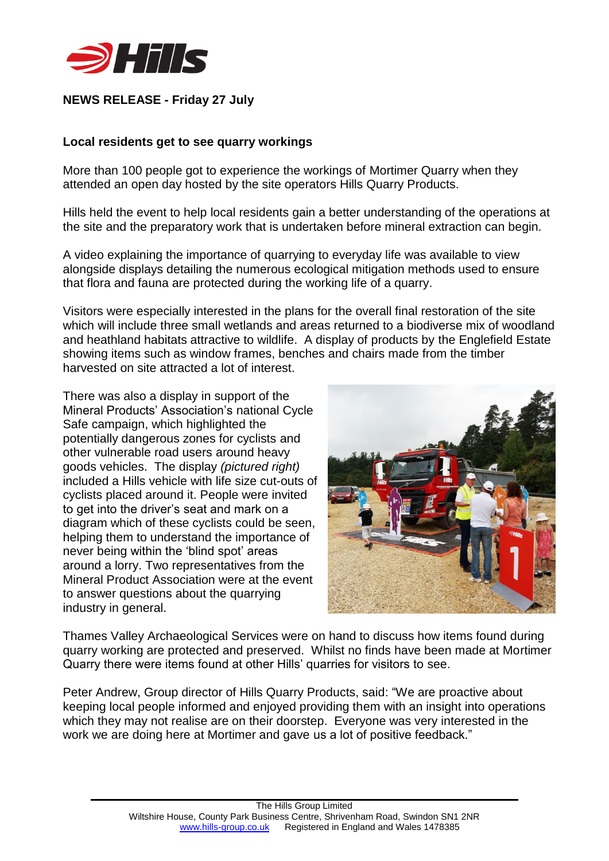

## **NEWS RELEASE - Friday 27 July**

## **Local residents get to see quarry workings**

More than 100 people got to experience the workings of Mortimer Quarry when they attended an open day hosted by the site operators Hills Quarry Products.

Hills held the event to help local residents gain a better understanding of the operations at the site and the preparatory work that is undertaken before mineral extraction can begin.

A video explaining the importance of quarrying to everyday life was available to view alongside displays detailing the numerous ecological mitigation methods used to ensure that flora and fauna are protected during the working life of a quarry.

Visitors were especially interested in the plans for the overall final restoration of the site which will include three small wetlands and areas returned to a biodiverse mix of woodland and heathland habitats attractive to wildlife. A display of products by the Englefield Estate showing items such as window frames, benches and chairs made from the timber harvested on site attracted a lot of interest.

There was also a display in support of the Mineral Products' Association's national Cycle Safe campaign, which highlighted the potentially dangerous zones for cyclists and other vulnerable road users around heavy goods vehicles. The display *(pictured right)* included a Hills vehicle with life size cut-outs of cyclists placed around it. People were invited to get into the driver's seat and mark on a diagram which of these cyclists could be seen, helping them to understand the importance of never being within the 'blind spot' areas around a lorry. Two representatives from the Mineral Product Association were at the event to answer questions about the quarrying industry in general.



Thames Valley Archaeological Services were on hand to discuss how items found during quarry working are protected and preserved. Whilst no finds have been made at Mortimer Quarry there were items found at other Hills' quarries for visitors to see.

Peter Andrew, Group director of Hills Quarry Products, said: "We are proactive about keeping local people informed and enjoyed providing them with an insight into operations which they may not realise are on their doorstep. Everyone was very interested in the work we are doing here at Mortimer and gave us a lot of positive feedback."